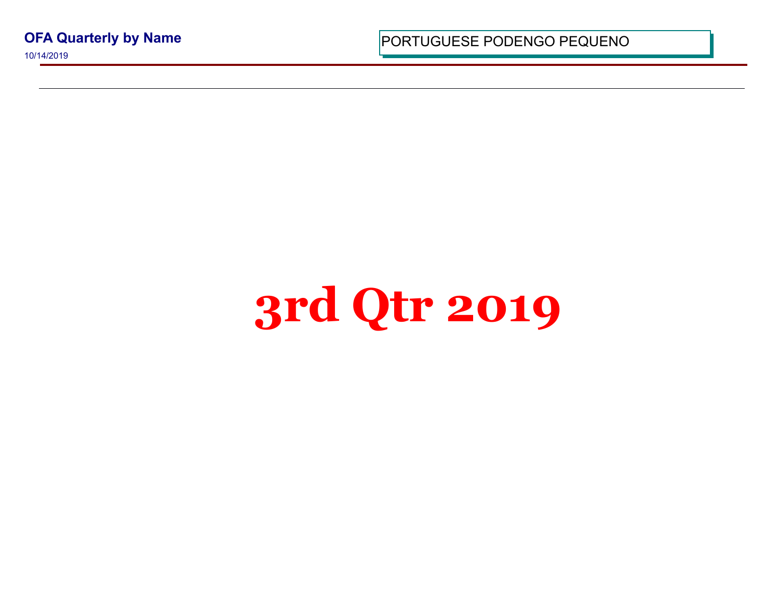**OFA Quarterly by Name**

10/14/2019

PORTUGUESE PODENGO PEQUI

## **3rd Qtr 2019**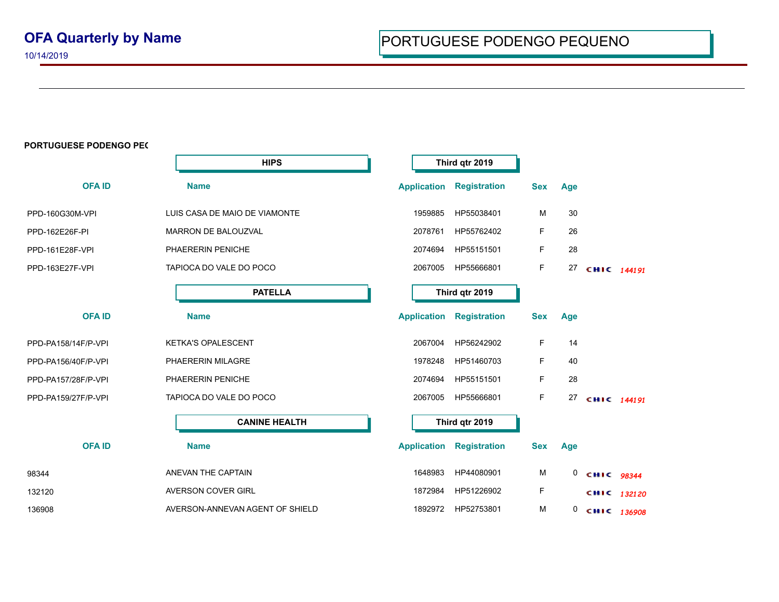10/14/2019

## **PORTUGUESE PODENGO PEC**

|                     | <b>HIPS</b>                     |                    | Third qtr 2019                  |            |     |             |  |
|---------------------|---------------------------------|--------------------|---------------------------------|------------|-----|-------------|--|
| <b>OFAID</b>        | <b>Name</b>                     |                    | <b>Application Registration</b> | <b>Sex</b> | Age |             |  |
| PPD-160G30M-VPI     | LUIS CASA DE MAIO DE VIAMONTE   | 1959885            | HP55038401                      | M          | 30  |             |  |
| PPD-162E26F-PI      | <b>MARRON DE BALOUZVAL</b>      | 2078761            | HP55762402                      | F          | 26  |             |  |
| PPD-161E28F-VPI     | PHAERERIN PENICHE               | 2074694            | HP55151501                      | F          | 28  |             |  |
| PPD-163E27F-VPI     | TAPIOCA DO VALE DO POCO         | 2067005            | HP55666801                      | F          | 27  | CHIC 144191 |  |
|                     | <b>PATELLA</b>                  |                    | Third qtr 2019                  |            |     |             |  |
| <b>OFAID</b>        | <b>Name</b>                     | <b>Application</b> | <b>Registration</b>             | <b>Sex</b> | Age |             |  |
| PPD-PA158/14F/P-VPI | <b>KETKA'S OPALESCENT</b>       | 2067004            | HP56242902                      | F          | 14  |             |  |
| PPD-PA156/40F/P-VPI | PHAERERIN MILAGRE               | 1978248            | HP51460703                      | F          | 40  |             |  |
| PPD-PA157/28F/P-VPI | PHAERERIN PENICHE               | 2074694            | HP55151501                      | F          | 28  |             |  |
| PPD-PA159/27F/P-VPI | TAPIOCA DO VALE DO POCO         | 2067005            | HP55666801                      | F          | 27  | CHIC 144191 |  |
|                     | <b>CANINE HEALTH</b>            |                    | Third qtr 2019                  |            |     |             |  |
| <b>OFAID</b>        | <b>Name</b>                     | <b>Application</b> | <b>Registration</b>             | <b>Sex</b> | Age |             |  |
| 98344               | ANEVAN THE CAPTAIN              | 1648983            | HP44080901                      | M          | 0   | CHIC 98344  |  |
| 132120              | AVERSON COVER GIRL              | 1872984            | HP51226902                      | F          |     | CHIC 132120 |  |
| 136908              | AVERSON-ANNEVAN AGENT OF SHIELD | 1892972            | HP52753801                      | M          | 0   | CHIC 136908 |  |